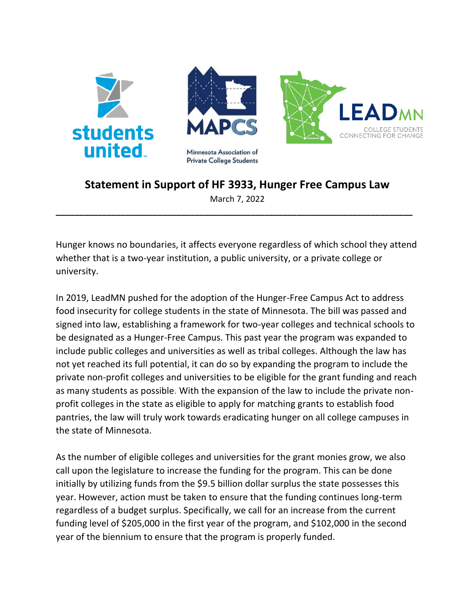

## **Statement in Support of HF 3933, Hunger Free Campus Law**

March 7, 2022 **\_\_\_\_\_\_\_\_\_\_\_\_\_\_\_\_\_\_\_\_\_\_\_\_\_\_\_\_\_\_\_\_\_\_\_\_\_\_\_\_\_\_\_\_\_\_\_\_\_\_\_\_\_\_\_\_\_\_\_\_\_\_\_\_\_\_\_\_\_\_\_\_\_\_\_\_\_**

Hunger knows no boundaries, it affects everyone regardless of which school they attend whether that is a two-year institution, a public university, or a private college or university.

In 2019, LeadMN pushed for the adoption of the Hunger-Free Campus Act to address food insecurity for college students in the state of Minnesota. The bill was passed and signed into law, establishing a framework for two-year colleges and technical schools to be designated as a Hunger-Free Campus. This past year the program was expanded to include public colleges and universities as well as tribal colleges. Although the law has not yet reached its full potential, it can do so by expanding the program to include the private non-profit colleges and universities to be eligible for the grant funding and reach as many students as possible. With the expansion of the law to include the private nonprofit colleges in the state as eligible to apply for matching grants to establish food pantries, the law will truly work towards eradicating hunger on all college campuses in the state of Minnesota.

As the number of eligible colleges and universities for the grant monies grow, we also call upon the legislature to increase the funding for the program. This can be done initially by utilizing funds from the \$9.5 billion dollar surplus the state possesses this year. However, action must be taken to ensure that the funding continues long-term regardless of a budget surplus. Specifically, we call for an increase from the current funding level of \$205,000 in the first year of the program, and \$102,000 in the second year of the biennium to ensure that the program is properly funded.